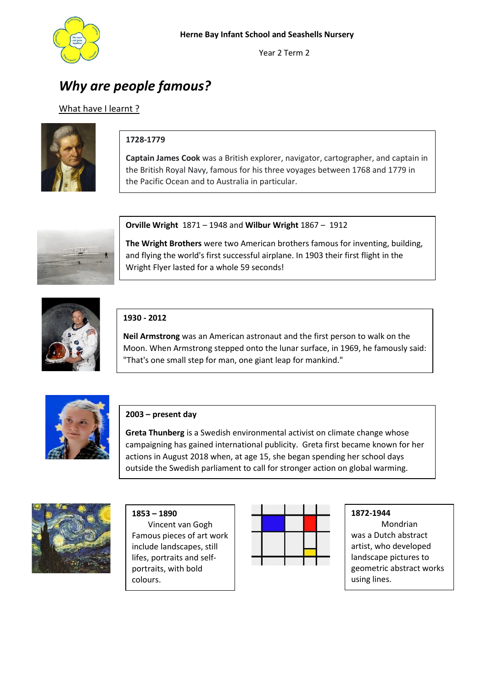

Year 2 Term 2

# *Why are people famous?*

## What have I learnt?



# **1728-1779**

**Captain James Cook** was a British explorer, navigator, cartographer, and captain in the British Royal Navy, famous for his three voyages between 1768 and 1779 in the Pacific Ocean and to Australia in particular.



**Orville Wright** 1871 – 1948 and **Wilbur Wright** 1867 – 1912

**The Wright Brothers** were two American brothers famous for inventing, building, and flying the world's first successful [airplane.](https://en.wikipedia.org/wiki/Airplane) In 1903 their first flight in the Wright Flyer lasted for a whole 59 seconds!



#### **1930 - 2012**

**Neil Armstrong** was an American [astronaut](https://en.wikipedia.org/wiki/Astronaut) and th[e first person to walk on the](https://en.wikipedia.org/wiki/Apollo_11#Lunar_surface_operations)  [Moon.](https://en.wikipedia.org/wiki/Apollo_11#Lunar_surface_operations) When Armstrong stepped onto the lunar surface, in 1969, he famously said: "That's one small step for man, one giant leap for mankind."



### **2003 – present day**

**Greta Thunberg** is a Swedish [environmental activist](https://en.wikipedia.org/wiki/Environmental_movement) o[n climate change](https://en.wikipedia.org/wiki/Climate_change) whose campaigning has gained international publicity. Greta first became known for her actions in August 2018 when, at age 15, she began spending her school days outside the [Swedish parliament](https://en.wikipedia.org/wiki/Swedish_parliament) to call for stronger [action on global warming.](https://en.wikipedia.org/wiki/Climate_change_mitigation)



**1853 – 1890**  Vincent van Gogh Famous pieces of art work include [landscapes,](https://en.wikipedia.org/wiki/Trees_and_Undergrowth_(Van_Gogh_series)) [still](https://en.wikipedia.org/wiki/Still_life_paintings_by_Vincent_van_Gogh_(Paris))  [lifes,](https://en.wikipedia.org/wiki/Still_life_paintings_by_Vincent_van_Gogh_(Paris)) [portraits](https://en.wikipedia.org/wiki/Portraits_by_Vincent_van_Gogh) and [self](https://en.wikipedia.org/wiki/Portraits_of_Vincent_van_Gogh)[portraits,](https://en.wikipedia.org/wiki/Portraits_of_Vincent_van_Gogh) with bold colours.



**1872-1944**

Mondrian was a Dutch abstract artist, who developed landscape pictures to geometric abstract works using lines.